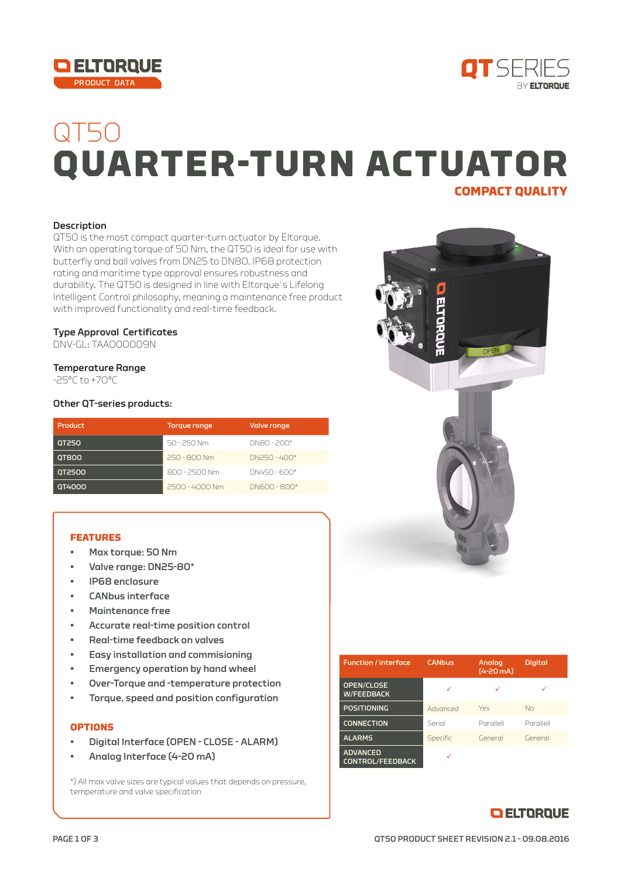



# QT50 **QUARTER-TURN ACTUATOR COMPACT QUALITY**

### **Description**

QT50 is the most compact quarter-turn actuator by Eltorque. With an operating torque of 50 Nm, the QT50 is ideal for use with butterfly and ball valves from DN25 to DN80. IP68 protection rating and maritime type approval ensures robustness and durability. The QT50 is designed in line with Eltorque`s Lifelong Intelligent Control philosophy, meaning a maintenance free product with improved functionality and real-time feedback.

### Type Approval Certificates

DNV-GL: TAA000009N

#### Temperature Range

-25°C to +70°C

#### Other QT-series products:

| <b>Product</b> | Torque range   | Valve range  |
|----------------|----------------|--------------|
| <b>QT250</b>   | 50 - 250 Nm    | DN80 - 200*  |
| <b>QT800</b>   | 250 - 800 Nm   | DN250 - 400* |
| 072500         | 800 - 2500 Nm  | DN450 - 600* |
| 0T4000         | 2500 - 4000 Nm | DN600 - 800* |

#### **FEATURES**

- Max torque: 50 Nm
- Valve range: DN25-80\*
- IP68 enclosure
- CANbus interface
- Maintenance free
- Accurate real-time position control
- Real-time feedback on valves
- Easy installation and commisioning
- Emergency operation by hand wheel
- Over-Torque and -temperature protection
- Torque, speed and position configuration

## **OPTIONS**

- Digital Interface (OPEN CLOSE ALARM)
- Analog Interface (4-20 mA)

\*) All max valve sizes are typical values that depends on pressure, temperature and valve specification



| <b>Function</b> / interface                | <b>CANbus</b> | <b>Analog</b><br>$(4 - 20$ mA) | <b>Digital</b> |
|--------------------------------------------|---------------|--------------------------------|----------------|
| OPEN/CLOSE<br><b>W/FEEDBACK</b>            |               |                                |                |
| <b>POSITIONING</b>                         | Advanced      | Yes                            | $N_{\Omega}$   |
| <b>CONNECTION</b>                          | Serial        | Parallell                      | Parallell      |
| <b>ALARMS</b>                              | Specific      | General                        | General        |
| <b>ADVANCED</b><br><b>CONTROL/FEEDBACK</b> |               |                                |                |

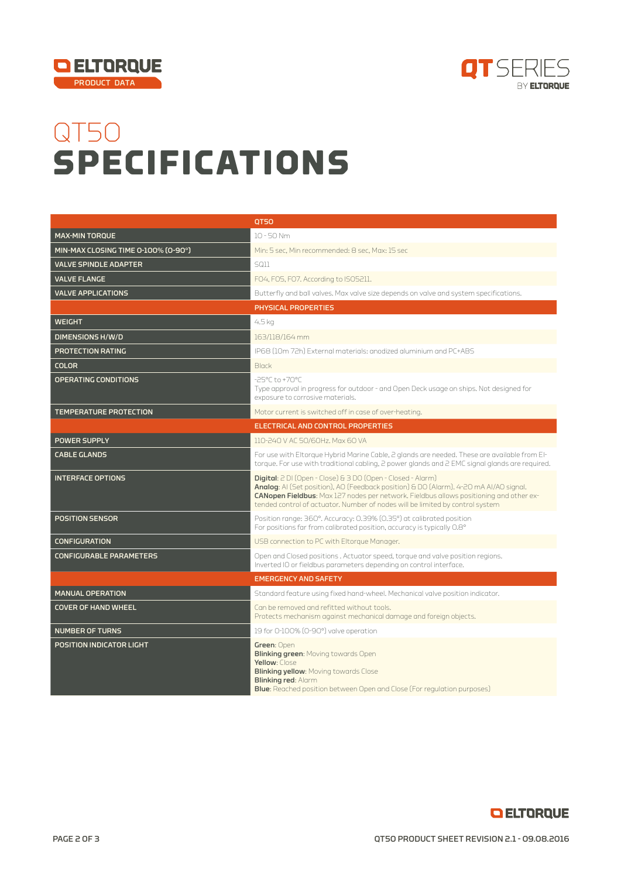



# QT50 **SPECIFICATIONS**

|                                     | <b>QT50</b>                                                                                                                                                                                                                                                                                                                     |
|-------------------------------------|---------------------------------------------------------------------------------------------------------------------------------------------------------------------------------------------------------------------------------------------------------------------------------------------------------------------------------|
| <b>MAX-MIN TORQUE</b>               | $10 - 50$ Nm                                                                                                                                                                                                                                                                                                                    |
| MIN-MAX CLOSING TIME 0-100% (0-90°) | Min: 5 sec, Min recommended: 8 sec, Max: 15 sec                                                                                                                                                                                                                                                                                 |
| <b>VALVE SPINDLE ADAPTER</b>        | <b>SQ11</b>                                                                                                                                                                                                                                                                                                                     |
| <b>VALVE FLANGE</b>                 | FO4, FO5, FO7. According to ISO5211.                                                                                                                                                                                                                                                                                            |
| <b>VALVE APPLICATIONS</b>           | Butterfly and ball valves. Max valve size depends on valve and system specifications.                                                                                                                                                                                                                                           |
|                                     | PHYSICAL PROPERTIES                                                                                                                                                                                                                                                                                                             |
| <b>WEIGHT</b>                       | 4.5 kg                                                                                                                                                                                                                                                                                                                          |
| <b>DIMENSIONS H/W/D</b>             | 163/118/164 mm                                                                                                                                                                                                                                                                                                                  |
| PROTECTION RATING                   | IP68 (10m 72h) External materials: anodized aluminium and PC+ABS                                                                                                                                                                                                                                                                |
| <b>COLOR</b>                        | <b>Black</b>                                                                                                                                                                                                                                                                                                                    |
| <b>OPERATING CONDITIONS</b>         | -25°C to +70°C<br>Type approval in progress for outdoor - and Open Deck usage on ships. Not designed for<br>exposure to corrosive materials.                                                                                                                                                                                    |
| <b>TEMPERATURE PROTECTION</b>       | Motor current is switched off in case of over-heating.                                                                                                                                                                                                                                                                          |
|                                     | <b>ELECTRICAL AND CONTROL PROPERTIES</b>                                                                                                                                                                                                                                                                                        |
| <b>POWER SUPPLY</b>                 | 110-240 V AC 50/60Hz, Max 60 VA                                                                                                                                                                                                                                                                                                 |
| <b>CABLE GLANDS</b>                 | For use with Eltorque Hybrid Marine Cable, 2 glands are needed. These are available from El-<br>torque. For use with traditional cabling, 2 power glands and 2 EMC signal glands are required.                                                                                                                                  |
| <b>INTERFACE OPTIONS</b>            | Digital: 2 DI (Open - Close) & 3 DO (Open - Closed - Alarm)<br>Analog: AI (Set position), AO (Feedback position) & DO (Alarm). 4-20 mA AI/AO signal.<br>CANopen Fieldbus: Max 127 nodes per network. Fieldbus allows positioning and other ex-<br>tended control of actuator. Number of nodes will be limited by control system |
| <b>POSITION SENSOR</b>              | Position range: 360°. Accuracy: 0.39% (0.35°) at calibrated position<br>For positions far from calibrated position, accuracy is typically 0.8°                                                                                                                                                                                  |
| <b>CONFIGURATION</b>                | USB connection to PC with Eltorque Manager.                                                                                                                                                                                                                                                                                     |
| <b>CONFIGURABLE PARAMETERS</b>      | Open and Closed positions . Actuator speed, torque and valve position regions.<br>Inverted IO or fieldbus parameters depending on control interface.                                                                                                                                                                            |
|                                     | <b>EMERGENCY AND SAFETY</b>                                                                                                                                                                                                                                                                                                     |
| <b>MANUAL OPERATION</b>             | Standard feature using fixed hand-wheel. Mechanical valve position indicator.                                                                                                                                                                                                                                                   |
| <b>COVER OF HAND WHEEL</b>          | Can be removed and refitted without tools.<br>Protects mechanism against mechanical damage and foreign objects.                                                                                                                                                                                                                 |
| <b>NUMBER OF TURNS</b>              | 19 for 0-100% (0-90°) valve operation                                                                                                                                                                                                                                                                                           |
| <b>POSITION INDICATOR LIGHT</b>     | Green: Open<br><b>Blinking green: Moving towards Open</b><br>Yellow: Close<br><b>Blinking yellow: Moving towards Close</b><br><b>Blinking red: Alarm</b><br><b>Blue:</b> Reached position between Open and Close (For regulation purposes)                                                                                      |